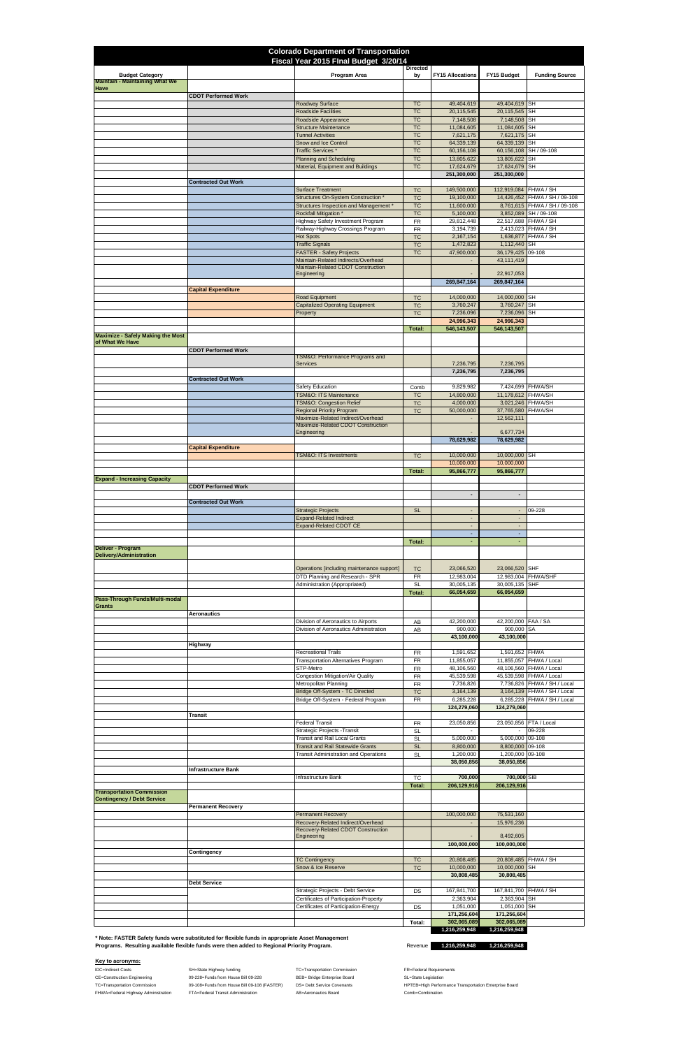IDC=Indirect Costs **SH=State Highway funding** TC=Transportation Commission FR=Federal Requirements CE=Construction Engineering **68-228**=Funds from House Bill 09-228 BEB= Bridge Enterprise Board SL=State Legislation FHWA=Federal Highway Administration FTA=Federal Transit Administration AB=Aeronautics Board Comb=Combination

TC=Transportation Commission 09-108=Funds from House Bill 09-108 (FASTER) DS= Debt Service Covenants MPTEB=High Performance Transportation Enterprise Board

| <b>Colorado Department of Transportation</b><br>Fiscal Year 2015 Flnal Budget 3/20/14 |                            |                                                                                  |                        |                                                      |                                            |                                                               |  |  |
|---------------------------------------------------------------------------------------|----------------------------|----------------------------------------------------------------------------------|------------------------|------------------------------------------------------|--------------------------------------------|---------------------------------------------------------------|--|--|
| <b>Budget Category</b><br><b>Maintain - Maintaining What We</b>                       |                            | Program Area                                                                     | <b>Directed</b><br>by  | <b>FY15 Allocations</b>                              | FY15 Budget                                | <b>Funding Source</b>                                         |  |  |
| Have                                                                                  | <b>CDOT Performed Work</b> |                                                                                  |                        |                                                      |                                            |                                                               |  |  |
|                                                                                       |                            | Roadway Surface<br><b>Roadside Facilities</b>                                    | <b>TC</b><br><b>TC</b> | 49,404,619<br>20,115,545                             | 49,404,619 SH<br>20,115,545 SH             |                                                               |  |  |
|                                                                                       |                            | Roadside Appearance                                                              | <b>TC</b>              | 7,148,508                                            | 7,148,508 SH                               |                                                               |  |  |
|                                                                                       |                            | <b>Structure Maintenance</b><br><b>Tunnel Activities</b>                         | <b>TC</b><br><b>TC</b> | 11,084,605<br>7,621,175                              | 11,084,605 SH<br>7,621,175 SH              |                                                               |  |  |
|                                                                                       |                            | Snow and Ice Control<br>Traffic Services <sup>*</sup>                            | <b>TC</b><br><b>TC</b> | 64,339,139<br>60,156,108                             | 64,339,139 SH                              | 60,156,108 SH / 09-108                                        |  |  |
|                                                                                       |                            | <b>Planning and Scheduling</b><br>Material, Equipment and Buildings              | <b>TC</b><br><b>TC</b> | 13,805,622<br>17,624,679                             | 13,805,622 SH<br>17,624,679 SH             |                                                               |  |  |
|                                                                                       |                            |                                                                                  |                        | 251,300,000                                          | 251,300,000                                |                                                               |  |  |
|                                                                                       | <b>Contracted Out Work</b> | <b>Surface Treatment</b>                                                         | <b>TC</b>              | 149,500,000                                          | 112,919,084 FHWA / SH                      |                                                               |  |  |
|                                                                                       |                            | Structures On-System Construction *<br>Structures Inspection and Management *    | <b>TC</b><br><b>TC</b> | 19,100,000<br>11,600,000                             |                                            | 14,426,452 FHWA / SH / 09-108<br>8,761,615 FHWA / SH / 09-108 |  |  |
|                                                                                       |                            | <b>Rockfall Mitigation *</b><br><b>Highway Safety Investment Program</b>         | <b>TC</b>              | 5,100,000<br>29,812,448                              | 22,517,688 FHWA / SH                       | 3,852,089 SH / 09-108                                         |  |  |
|                                                                                       |                            | Railway-Highway Crossings Program                                                | <b>FR</b><br><b>FR</b> | 3,194,739                                            |                                            | 2,413,023 FHWA / SH                                           |  |  |
|                                                                                       |                            | <b>Hot Spots</b><br><b>Traffic Signals</b>                                       | <b>TC</b><br><b>TC</b> | 2,167,154<br>1,472,823                               | 1,112,440 SH                               | 1,636,877 FHWA / SH                                           |  |  |
|                                                                                       |                            | <b>FASTER - Safety Projects</b><br>Maintain-Related Indirects/Overhead           | <b>TC</b>              | 47,900,000                                           | 36,179,425 09-108<br>43,111,419            |                                                               |  |  |
|                                                                                       |                            | Maintain-Related CDOT Construction<br>Engineering                                |                        |                                                      | 22,917,053                                 |                                                               |  |  |
|                                                                                       |                            |                                                                                  |                        | 269,847,164                                          | 269,847,164                                |                                                               |  |  |
|                                                                                       | <b>Capital Expenditure</b> | Road Equipment                                                                   | <b>TC</b>              | 14,000,000                                           | 14,000,000 SH                              |                                                               |  |  |
|                                                                                       |                            | <b>Capitalized Operating Equipment</b><br>Property                               | <b>TC</b><br><b>TC</b> | 3,760,247<br>7,236,096                               | 3,760,247 SH<br>7,236,096 SH               |                                                               |  |  |
|                                                                                       |                            |                                                                                  |                        | 24,996,343                                           | 24,996,343                                 |                                                               |  |  |
| <b>Maximize - Safely Making the Most</b>                                              |                            |                                                                                  | Total:                 | 546, 143, 507                                        | 546,143,507                                |                                                               |  |  |
| of What We Have                                                                       | <b>CDOT Performed Work</b> |                                                                                  |                        |                                                      |                                            |                                                               |  |  |
|                                                                                       |                            | TSM&O: Performance Programs and<br><b>Services</b>                               |                        | 7,236,795                                            | 7,236,795                                  |                                                               |  |  |
|                                                                                       | <b>Contracted Out Work</b> |                                                                                  |                        | 7,236,795                                            | 7,236,795                                  |                                                               |  |  |
|                                                                                       |                            | Safety Education<br>TSM&O: ITS Maintenance                                       | Comb<br><b>TC</b>      | 9,829,982<br>14,800,000                              | 7,424,699 FHWA/SH<br>11,178,612 FHWA/SH    |                                                               |  |  |
|                                                                                       |                            | <b>TSM&amp;O: Congestion Relief</b>                                              | <b>TC</b>              | 4,000,000                                            | 3,021,246 FHWA/SH                          |                                                               |  |  |
|                                                                                       |                            | <b>Regional Priority Program</b><br>Maximize-Related Indirect/Overhead           | <b>TC</b>              | 50,000,000<br>$\overline{\phantom{a}}$               | 37,765,580 FHWA/SH<br>12,562,111           |                                                               |  |  |
|                                                                                       |                            | Maximize-Related CDOT Construction<br>Engineering                                |                        |                                                      | 6,677,734                                  |                                                               |  |  |
|                                                                                       | <b>Capital Expenditure</b> |                                                                                  |                        | 78,629,982                                           | 78,629,982                                 |                                                               |  |  |
|                                                                                       |                            | <b>TSM&amp;O: ITS Investments</b>                                                | <b>TC</b>              | 10,000,000                                           | 10,000,000 SH                              |                                                               |  |  |
|                                                                                       |                            |                                                                                  | Total:                 | 10,000,000<br>95,866,777                             | 10,000,000<br>95,866,777                   |                                                               |  |  |
| <b>Expand - Increasing Capacity</b>                                                   | <b>CDOT Performed Work</b> |                                                                                  |                        |                                                      |                                            |                                                               |  |  |
|                                                                                       | <b>Contracted Out Work</b> |                                                                                  |                        | $\overline{\phantom{a}}$                             | $\blacksquare$                             |                                                               |  |  |
|                                                                                       |                            | <b>Strategic Projects</b>                                                        | <b>SL</b>              | $\overline{\phantom{a}}$                             | $\overline{\phantom{a}}$                   | 09-228                                                        |  |  |
|                                                                                       |                            | <b>Expand-Related Indirect</b><br>Expand-Related CDOT CE                         |                        | $\overline{\phantom{a}}$<br>$\overline{\phantom{a}}$ | $\blacksquare$<br>$\overline{\phantom{a}}$ |                                                               |  |  |
|                                                                                       |                            |                                                                                  | Total:                 | $\overline{\phantom{a}}$<br>٠                        | $\sim$<br>$\sim$                           |                                                               |  |  |
| Deliver - Program<br>Delivery/Administration                                          |                            |                                                                                  |                        |                                                      |                                            |                                                               |  |  |
|                                                                                       |                            | Operations [including maintenance support]                                       | <b>TC</b>              | 23,066,520                                           | 23,066,520 SHF                             |                                                               |  |  |
|                                                                                       |                            | DTD Planning and Research - SPR<br>Administration (Appropriated)                 | <b>FR</b>              | 12,983,004<br>30,005,135                             | 12,983,004 FHWA/SHF<br>30,005,135 SHF      |                                                               |  |  |
|                                                                                       |                            |                                                                                  | <b>SL</b><br>Total:    | 66,054,659                                           | 66,054,659                                 |                                                               |  |  |
| Pass-Through Funds/Multi-modal<br><b>Grants</b>                                       |                            |                                                                                  |                        |                                                      |                                            |                                                               |  |  |
|                                                                                       | <b>Aeronautics</b>         | Division of Aeronautics to Airports                                              | AB                     | 42,200,000                                           | 42,200,000 FAA / SA                        |                                                               |  |  |
|                                                                                       |                            | Division of Aeronautics Administration                                           | AB                     | 900,000<br>43,100,000                                | 900,000 SA<br>43,100,000                   |                                                               |  |  |
|                                                                                       | Highway                    |                                                                                  |                        |                                                      |                                            |                                                               |  |  |
|                                                                                       |                            | <b>Recreational Trails</b><br><b>Transportation Alternatives Program</b>         | FR<br><b>FR</b>        | 1,591,652<br>11,855,057                              | 1,591,652 FHWA                             | 11,855,057 FHWA / Local                                       |  |  |
|                                                                                       |                            | STP-Metro<br>Congestion Mitigation/Air Quality                                   | <b>FR</b><br><b>FR</b> | 48,106,560<br>45,539,598                             |                                            | 48,106,560 FHWA / Local<br>45,539,598 FHWA / Local            |  |  |
|                                                                                       |                            | Metropolitan Planning<br>Bridge Off-System - TC Directed                         | <b>FR</b><br><b>TC</b> | 7,736,826<br>3,164,139                               |                                            | 7,736,826 FHWA / SH / Local<br>3,164,139 FHWA / SH / Local    |  |  |
|                                                                                       |                            | Bridge Off-System - Federal Program                                              | FR                     | 6,285,228                                            |                                            | 6,285,228 FHWA / SH / Local                                   |  |  |
|                                                                                       | Transit                    |                                                                                  |                        | 124,279,060                                          | 124,279,060                                |                                                               |  |  |
|                                                                                       |                            | Federal Transit<br>Strategic Projects - Transit                                  | FR<br><b>SL</b>        | 23,050,856                                           | 23,050,856 FTA / Local                     | 09-228                                                        |  |  |
|                                                                                       |                            | <b>Transit and Rail Local Grants</b><br><b>Transit and Rail Statewide Grants</b> | <b>SL</b><br><b>SL</b> | 5,000,000<br>8,800,000                               | 5,000,000 09-108<br>8,800,000 09-108       |                                                               |  |  |
|                                                                                       |                            | <b>Transit Administration and Operations</b>                                     | <b>SL</b>              | 1,200,000                                            | 1,200,000 09-108                           |                                                               |  |  |
|                                                                                       | <b>Infrastructure Bank</b> |                                                                                  |                        | 38,050,856                                           | 38,050,856                                 |                                                               |  |  |
|                                                                                       |                            | Infrastructure Bank                                                              | TC<br><b>Total:</b>    | 700,000<br>206,129,916                               | 700,000 SIB<br>206,129,916                 |                                                               |  |  |
| <b>Transportation Commission</b><br><b>Contingency / Debt Service</b>                 |                            |                                                                                  |                        |                                                      |                                            |                                                               |  |  |
|                                                                                       | <b>Permanent Recoverv</b>  | <b>Permanent Recovery</b>                                                        |                        | 100,000,000                                          | 75,531,160                                 |                                                               |  |  |
|                                                                                       |                            | Recovery-Related Indirect/Overhead                                               |                        |                                                      | 15,976,236                                 |                                                               |  |  |
|                                                                                       |                            | Recovery-Related CDOT Construction<br>Engineering                                |                        |                                                      | 8,492,605                                  |                                                               |  |  |
|                                                                                       | Contingency                |                                                                                  |                        | 100,000,000                                          | 100,000,000                                |                                                               |  |  |
|                                                                                       |                            | <b>TC Contingency</b><br>Snow & Ice Reserve                                      | <b>TC</b><br><b>TC</b> | 20,808,485<br>10,000,000                             | 10,000,000 SH                              | 20,808,485 FHWA / SH                                          |  |  |
|                                                                                       |                            |                                                                                  |                        | 30,808,485                                           | 30,808,485                                 |                                                               |  |  |
|                                                                                       | <b>Debt Service</b>        | Strategic Projects - Debt Service                                                | DS                     | 167,841,700                                          | 167,841,700 FHWA / SH                      |                                                               |  |  |
|                                                                                       |                            |                                                                                  |                        |                                                      | 2,363,904 SH                               |                                                               |  |  |
|                                                                                       |                            | Certificates of Participation-Property<br>Certificates of Participation-Energy   | DS                     | 2,363,904<br>1,051,000                               | 1,051,000 SH                               |                                                               |  |  |

 **1,216,259,948 1,216,259,948** 

Revenue **1,216,259,948 1,216,259,948** 

## **Key to acronyms:**

**\* Note: FASTER Safety funds were substituted for flexible funds in appropriate Asset Management Programs. Resulting available flexible funds were then added to Regional Priority Program.**